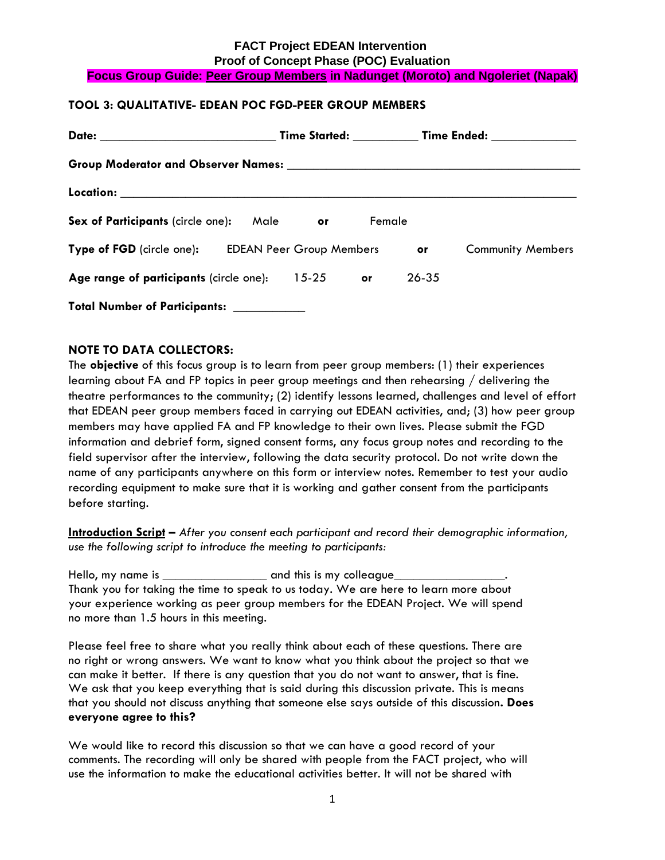#### **FACT Project EDEAN Intervention Proof of Concept Phase (POC) Evaluation Focus Group Guide: Peer Group Members in Nadunget (Moroto) and Ngoleriet (Napak)**

### **TOOL 3: QUALITATIVE- EDEAN POC FGD-PEER GROUP MEMBERS**

|                                                    |      |           | <b>Time Started:</b> |       | Time Ended: National Property of Time |  |
|----------------------------------------------------|------|-----------|----------------------|-------|---------------------------------------|--|
|                                                    |      |           |                      |       |                                       |  |
|                                                    |      |           |                      |       |                                       |  |
| Sex of Participants (circle one):                  | Male | or.       | Female               |       |                                       |  |
| Type of FGD (circle one): EDEAN Peer Group Members |      |           |                      | or    | <b>Community Members</b>              |  |
| Age range of participants (circle one):            |      | $15 - 25$ | <b>or</b>            | 26-35 |                                       |  |
| <b>Total Number of Participants:</b>               |      |           |                      |       |                                       |  |

#### **NOTE TO DATA COLLECTORS:**

The **objective** of this focus group is to learn from peer group members: (1) their experiences learning about FA and FP topics in peer group meetings and then rehearsing / delivering the theatre performances to the community; (2) identify lessons learned, challenges and level of effort that EDEAN peer group members faced in carrying out EDEAN activities, and; (3) how peer group members may have applied FA and FP knowledge to their own lives. Please submit the FGD information and debrief form, signed consent forms, any focus group notes and recording to the field supervisor after the interview, following the data security protocol. Do not write down the name of any participants anywhere on this form or interview notes. Remember to test your audio recording equipment to make sure that it is working and gather consent from the participants before starting.

**Introduction Script –** *After you consent each participant and record their demographic information, use the following script to introduce the meeting to participants:*

Hello, my name is entitled and this is my colleague Thank you for taking the time to speak to us today. We are here to learn more about your experience working as peer group members for the EDEAN Project. We will spend no more than 1.5 hours in this meeting.

Please feel free to share what you really think about each of these questions. There are no right or wrong answers. We want to know what you think about the project so that we can make it better. If there is any question that you do not want to answer, that is fine. We ask that you keep everything that is said during this discussion private. This is means that you should not discuss anything that someone else says outside of this discussion**. Does everyone agree to this?**

We would like to record this discussion so that we can have a good record of your comments. The recording will only be shared with people from the FACT project, who will use the information to make the educational activities better. It will not be shared with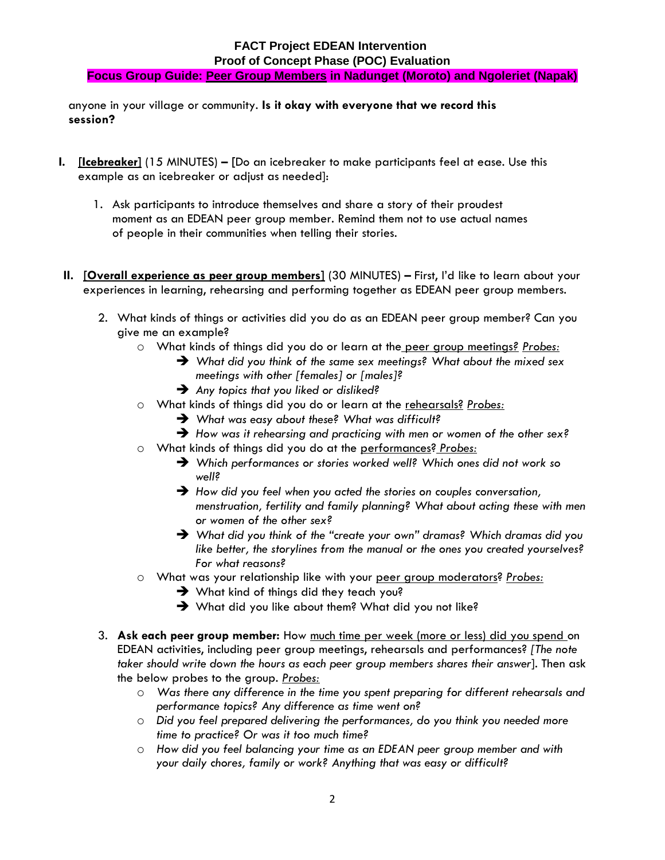## **FACT Project EDEAN Intervention Proof of Concept Phase (POC) Evaluation Focus Group Guide: Peer Group Members in Nadunget (Moroto) and Ngoleriet (Napak)**

anyone in your village or community. **Is it okay with everyone that we record this session?** 

- **I. [Icebreaker]** (15 MINUTES) **– [**Do an icebreaker to make participants feel at ease. Use this example as an icebreaker or adjust as needed]:
	- 1. Ask participants to introduce themselves and share a story of their proudest moment as an EDEAN peer group member. Remind them not to use actual names of people in their communities when telling their stories.
- **II. [Overall experience as peer group members]** (30 MINUTES) **–** First, I'd like to learn about your experiences in learning, rehearsing and performing together as EDEAN peer group members.
	- 2. What kinds of things or activities did you do as an EDEAN peer group member? Can you give me an example?
		- o What kinds of things did you do or learn at the peer group meetings*? Probes:*
			- *What did you think of the same sex meetings? What about the mixed sex meetings with other [females] or [males]?*
			- *Any topics that you liked or disliked?*
		- o What kinds of things did you do or learn at the rehearsals? *Probes:*
			- *What was easy about these? What was difficult?*
			- *How was it rehearsing and practicing with men or women of the other sex?*
		- o What kinds of things did you do at the performances? *Probes:*
			- *Which performances or stories worked well? Which ones did not work so well?*
			- *How did you feel when you acted the stories on couples conversation, menstruation, fertility and family planning? What about acting these with men or women of the other sex?*
			- *What did you think of the "create your own" dramas? Which dramas did you like better, the storylines from the manual or the ones you created yourselves? For what reasons?*
		- o What was your relationship like with your peer group moderators? *Probes:*
			- What kind of things did they teach you?
			- What did you like about them? What did you not like?
	- 3. **Ask each peer group member:** How much time per week (more or less) did you spend on EDEAN activities, including peer group meetings, rehearsals and performances? *[The note taker should write down the hours as each peer group members shares their answer*]. Then ask the below probes to the group. *Probes:*
		- o *Was there any difference in the time you spent preparing for different rehearsals and performance topics? Any difference as time went on?*
		- o *Did you feel prepared delivering the performances, do you think you needed more time to practice? Or was it too much time?*
		- o *How did you feel balancing your time as an EDEAN peer group member and with your daily chores, family or work? Anything that was easy or difficult?*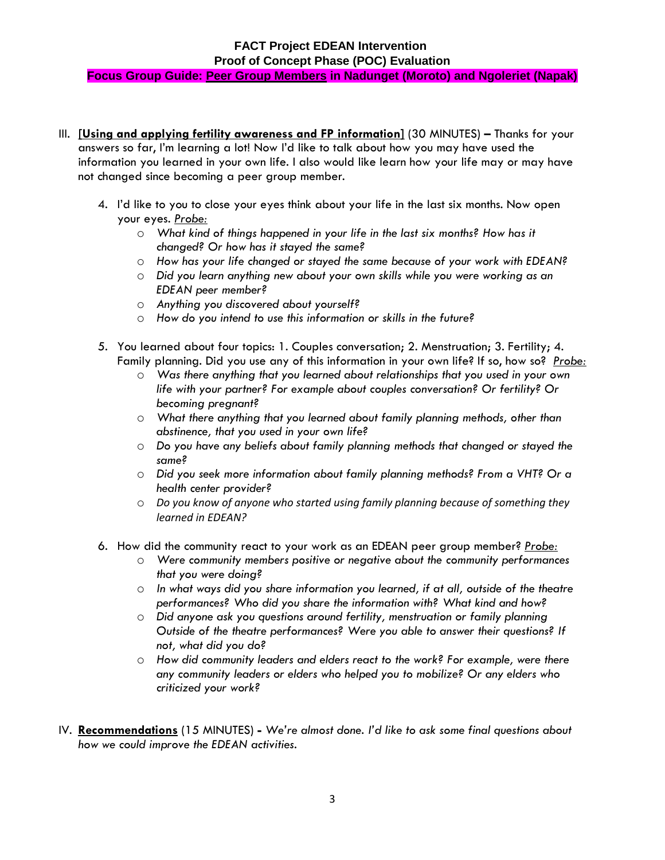# **FACT Project EDEAN Intervention Proof of Concept Phase (POC) Evaluation Focus Group Guide: Peer Group Members in Nadunget (Moroto) and Ngoleriet (Napak)**

- III. **[Using and applying fertility awareness and FP information]** (30 MINUTES) **–** Thanks for your answers so far, I'm learning a lot! Now I'd like to talk about how you may have used the information you learned in your own life. I also would like learn how your life may or may have not changed since becoming a peer group member.
	- 4. I'd like to you to close your eyes think about your life in the last six months. Now open your eyes. *Probe:*
		- o *What kind of things happened in your life in the last six months? How has it changed? Or how has it stayed the same?*
		- o *How has your life changed or stayed the same because of your work with EDEAN?*
		- o *Did you learn anything new about your own skills while you were working as an EDEAN peer member?*
		- o *Anything you discovered about yourself?*
		- o *How do you intend to use this information or skills in the future?*
	- 5. You learned about four topics: 1. Couples conversation; 2. Menstruation; 3. Fertility; 4. Family planning. Did you use any of this information in your own life? If so, how so? *Probe:* 
		- o *Was there anything that you learned about relationships that you used in your own life with your partner? For example about couples conversation? Or fertility? Or becoming pregnant?*
		- o *What there anything that you learned about family planning methods, other than abstinence, that you used in your own life?*
		- o *Do you have any beliefs about family planning methods that changed or stayed the same?*
		- o *Did you seek more information about family planning methods? From a VHT? Or a health center provider?*
		- o *Do you know of anyone who started using family planning because of something they learned in EDEAN?*
	- 6. How did the community react to your work as an EDEAN peer group member? *Probe:*
		- o *Were community members positive or negative about the community performances that you were doing?*
		- o *In what ways did you share information you learned, if at all, outside of the theatre performances? Who did you share the information with? What kind and how?*
		- o *Did anyone ask you questions around fertility, menstruation or family planning Outside of the theatre performances? Were you able to answer their questions? If not, what did you do?*
		- o *How did community leaders and elders react to the work? For example, were there any community leaders or elders who helped you to mobilize? Or any elders who criticized your work?*
- IV. **Recommendations** (15 MINUTES) **-** *We're almost done. I'd like to ask some final questions about how we could improve the EDEAN activities.*